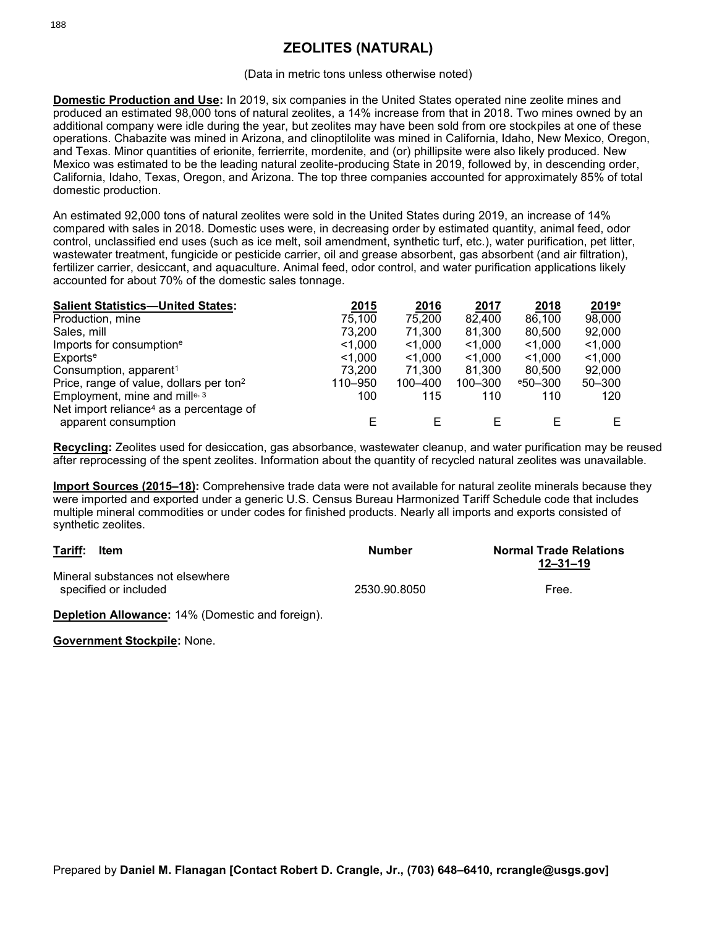## **ZEOLITES (NATURAL)**

## (Data in metric tons unless otherwise noted)

**Domestic Production and Use:** In 2019, six companies in the United States operated nine zeolite mines and produced an estimated 98,000 tons of natural zeolites, a 14% increase from that in 2018. Two mines owned by an additional company were idle during the year, but zeolites may have been sold from ore stockpiles at one of these operations. Chabazite was mined in Arizona, and clinoptilolite was mined in California, Idaho, New Mexico, Oregon, and Texas. Minor quantities of erionite, ferrierrite, mordenite, and (or) phillipsite were also likely produced. New Mexico was estimated to be the leading natural zeolite-producing State in 2019, followed by, in descending order, California, Idaho, Texas, Oregon, and Arizona. The top three companies accounted for approximately 85% of total domestic production.

An estimated 92,000 tons of natural zeolites were sold in the United States during 2019, an increase of 14% compared with sales in 2018. Domestic uses were, in decreasing order by estimated quantity, animal feed, odor control, unclassified end uses (such as ice melt, soil amendment, synthetic turf, etc.), water purification, pet litter, wastewater treatment, fungicide or pesticide carrier, oil and grease absorbent, gas absorbent (and air filtration), fertilizer carrier, desiccant, and aquaculture. Animal feed, odor control, and water purification applications likely accounted for about 70% of the domestic sales tonnage.

| <b>Salient Statistics-United States:</b>            | 2015    | 2016      | 2017      | 2018               | 2019 <sup>e</sup> |
|-----------------------------------------------------|---------|-----------|-----------|--------------------|-------------------|
| Production, mine                                    | 75,100  | 75,200    | 82,400    | 86,100             | 98,000            |
| Sales, mill                                         | 73.200  | 71,300    | 81,300    | 80,500             | 92,000            |
| Imports for consumption <sup>e</sup>                | < 1.000 | $<$ 1,000 | $<$ 1,000 | $<$ 1,000          | $<$ 1,000         |
| Exports <sup>e</sup>                                | < 1.000 | < 1.000   | < 1.000   | < 1.000            | < 1.000           |
| Consumption, apparent <sup>1</sup>                  | 73.200  | 71.300    | 81.300    | 80.500             | 92,000            |
| Price, range of value, dollars per ton <sup>2</sup> | 110-950 | 100-400   | 100-300   | $^{\rm e}50 - 300$ | $50 - 300$        |
| Employment, mine and mille, 3                       | 100     | 115       | 110       | 110                | 120               |
| Net import reliance <sup>4</sup> as a percentage of |         |           |           |                    |                   |
| apparent consumption                                |         |           |           |                    | Е                 |

**Recycling:** Zeolites used for desiccation, gas absorbance, wastewater cleanup, and water purification may be reused after reprocessing of the spent zeolites. Information about the quantity of recycled natural zeolites was unavailable.

**Import Sources (2015–18):** Comprehensive trade data were not available for natural zeolite minerals because they were imported and exported under a generic U.S. Census Bureau Harmonized Tariff Schedule code that includes multiple mineral commodities or under codes for finished products. Nearly all imports and exports consisted of synthetic zeolites.

| Tariff:<br>ltem<br>Mineral substances not elsewhere<br>specified or included |  | Number       | <b>Normal Trade Relations</b><br>$12 - 31 - 19$<br>Free. |  |
|------------------------------------------------------------------------------|--|--------------|----------------------------------------------------------|--|
|                                                                              |  | 2530.90.8050 |                                                          |  |

**Depletion Allowance:** 14% (Domestic and foreign).

**Government Stockpile:** None.